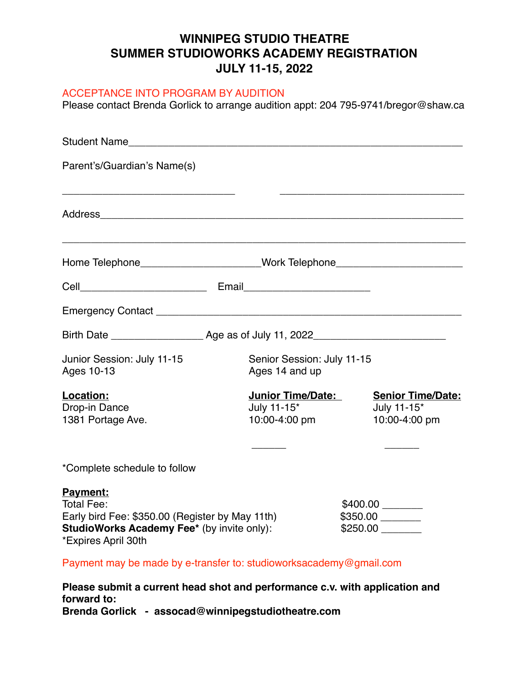## **WINNIPEG STUDIO THEATRE SUMMER STUDIOWORKS ACADEMY REGISTRATION JULY 11-15, 2022**

## ACCEPTANCE INTO PROGRAM BY AUDITION

Please contact Brenda Gorlick to arrange audition appt: 204 795-9741/bregor@shaw.ca

| Student Name <b>Student Student Name</b>                                                                                                              |                                                   |                                                          |
|-------------------------------------------------------------------------------------------------------------------------------------------------------|---------------------------------------------------|----------------------------------------------------------|
| Parent's/Guardian's Name(s)                                                                                                                           |                                                   |                                                          |
| Address                                                                                                                                               |                                                   |                                                          |
| Home Telephone_______________________Work Telephone_____________________________                                                                      |                                                   |                                                          |
|                                                                                                                                                       |                                                   |                                                          |
|                                                                                                                                                       |                                                   |                                                          |
|                                                                                                                                                       |                                                   |                                                          |
| Junior Session: July 11-15<br>Ages 10-13                                                                                                              | Senior Session: July 11-15<br>Ages 14 and up      |                                                          |
| Location:<br>Drop-in Dance<br>1381 Portage Ave.                                                                                                       | Junior Time/Date:<br>July 11-15*<br>10:00-4:00 pm | <b>Senior Time/Date:</b><br>July 11-15*<br>10:00-4:00 pm |
| *Complete schedule to follow                                                                                                                          |                                                   |                                                          |
| <b>Payment:</b><br>Total Fee:<br>Early bird Fee: \$350.00 (Register by May 11th)<br>StudioWorks Academy Fee* (by invite only):<br>*Expires April 30th |                                                   |                                                          |
| Payment may be made by e-transfer to: studioworksacademy@gmail.com                                                                                    |                                                   |                                                          |

**Please submit a current head shot and performance c.v. with application and forward to: Brenda Gorlick - assocad@winnipegstudiotheatre.com**